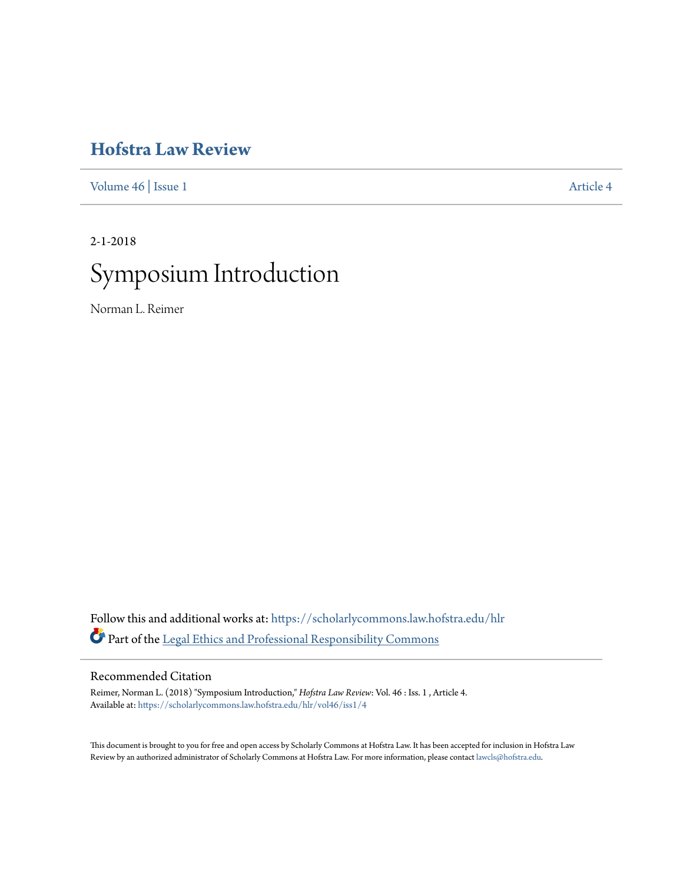# **[Hofstra Law Review](https://scholarlycommons.law.hofstra.edu/hlr?utm_source=scholarlycommons.law.hofstra.edu%2Fhlr%2Fvol46%2Fiss1%2F4&utm_medium=PDF&utm_campaign=PDFCoverPages)**

[Volume 46](https://scholarlycommons.law.hofstra.edu/hlr/vol46?utm_source=scholarlycommons.law.hofstra.edu%2Fhlr%2Fvol46%2Fiss1%2F4&utm_medium=PDF&utm_campaign=PDFCoverPages) | [Issue 1](https://scholarlycommons.law.hofstra.edu/hlr/vol46/iss1?utm_source=scholarlycommons.law.hofstra.edu%2Fhlr%2Fvol46%2Fiss1%2F4&utm_medium=PDF&utm_campaign=PDFCoverPages) [Article 4](https://scholarlycommons.law.hofstra.edu/hlr/vol46/iss1/4?utm_source=scholarlycommons.law.hofstra.edu%2Fhlr%2Fvol46%2Fiss1%2F4&utm_medium=PDF&utm_campaign=PDFCoverPages)

2-1-2018

# Symposium Introduction

Norman L. Reimer

Follow this and additional works at: [https://scholarlycommons.law.hofstra.edu/hlr](https://scholarlycommons.law.hofstra.edu/hlr?utm_source=scholarlycommons.law.hofstra.edu%2Fhlr%2Fvol46%2Fiss1%2F4&utm_medium=PDF&utm_campaign=PDFCoverPages) Part of the [Legal Ethics and Professional Responsibility Commons](http://network.bepress.com/hgg/discipline/895?utm_source=scholarlycommons.law.hofstra.edu%2Fhlr%2Fvol46%2Fiss1%2F4&utm_medium=PDF&utm_campaign=PDFCoverPages)

### Recommended Citation

Reimer, Norman L. (2018) "Symposium Introduction," *Hofstra Law Review*: Vol. 46 : Iss. 1 , Article 4. Available at: [https://scholarlycommons.law.hofstra.edu/hlr/vol46/iss1/4](https://scholarlycommons.law.hofstra.edu/hlr/vol46/iss1/4?utm_source=scholarlycommons.law.hofstra.edu%2Fhlr%2Fvol46%2Fiss1%2F4&utm_medium=PDF&utm_campaign=PDFCoverPages)

This document is brought to you for free and open access by Scholarly Commons at Hofstra Law. It has been accepted for inclusion in Hofstra Law Review by an authorized administrator of Scholarly Commons at Hofstra Law. For more information, please contact [lawcls@hofstra.edu](mailto:lawcls@hofstra.edu).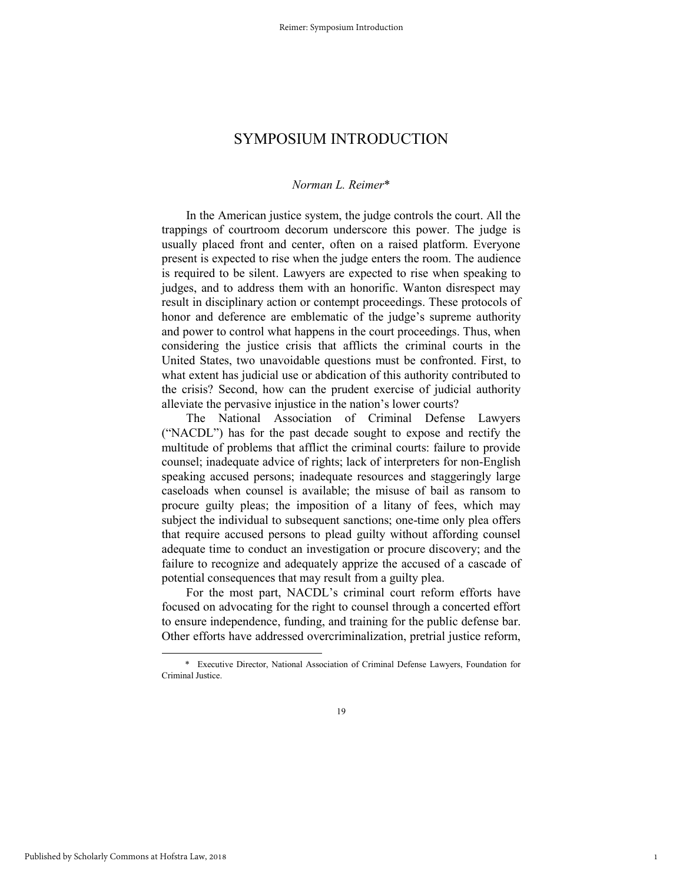## SYMPOSIUM INTRODUCTION

#### *Norman L. Reimer*\*

In the American justice system, the judge controls the court. All the trappings of courtroom decorum underscore this power. The judge is usually placed front and center, often on a raised platform. Everyone present is expected to rise when the judge enters the room. The audience is required to be silent. Lawyers are expected to rise when speaking to judges, and to address them with an honorific. Wanton disrespect may result in disciplinary action or contempt proceedings. These protocols of honor and deference are emblematic of the judge's supreme authority and power to control what happens in the court proceedings. Thus, when considering the justice crisis that afflicts the criminal courts in the United States, two unavoidable questions must be confronted. First, to what extent has judicial use or abdication of this authority contributed to the crisis? Second, how can the prudent exercise of judicial authority alleviate the pervasive injustice in the nation's lower courts?

The National Association of Criminal Defense Lawyers ("NACDL") has for the past decade sought to expose and rectify the multitude of problems that afflict the criminal courts: failure to provide counsel; inadequate advice of rights; lack of interpreters for non-English speaking accused persons; inadequate resources and staggeringly large caseloads when counsel is available; the misuse of bail as ransom to procure guilty pleas; the imposition of a litany of fees, which may subject the individual to subsequent sanctions; one-time only plea offers that require accused persons to plead guilty without affording counsel adequate time to conduct an investigation or procure discovery; and the failure to recognize and adequately apprize the accused of a cascade of potential consequences that may result from a guilty plea.

For the most part, NACDL's criminal court reform efforts have focused on advocating for the right to counsel through a concerted effort to ensure independence, funding, and training for the public defense bar. Other efforts have addressed overcriminalization, pretrial justice reform,

1

l

 <sup>\*</sup> Executive Director, National Association of Criminal Defense Lawyers, Foundation for Criminal Justice.